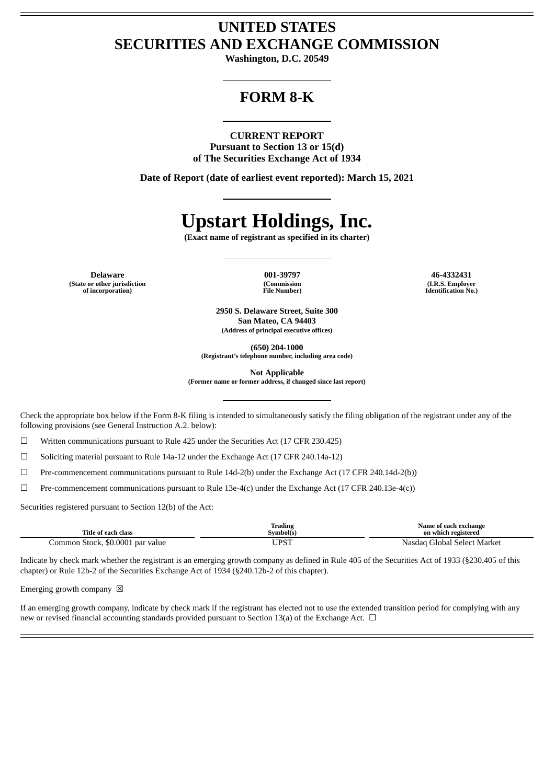# **UNITED STATES SECURITIES AND EXCHANGE COMMISSION**

**Washington, D.C. 20549**

# **FORM 8-K**

#### **CURRENT REPORT**

**Pursuant to Section 13 or 15(d) of The Securities Exchange Act of 1934**

**Date of Report (date of earliest event reported): March 15, 2021**

# **Upstart Holdings, Inc.**

**(Exact name of registrant as specified in its charter)**

**Delaware 001-39797 46-4332431 (State or other jurisdiction of incorporation)**

**(Commission File Number)**

**(I.R.S. Employer Identification No.)**

**2950 S. Delaware Street, Suite 300 San Mateo, CA 94403 (Address of principal executive offices)**

**(650) 204-1000**

**(Registrant's telephone number, including area code)**

**Not Applicable**

**(Former name or former address, if changed since last report)**

Check the appropriate box below if the Form 8-K filing is intended to simultaneously satisfy the filing obligation of the registrant under any of the following provisions (see General Instruction A.2. below):

☐ Written communications pursuant to Rule 425 under the Securities Act (17 CFR 230.425)

 $\Box$  Soliciting material pursuant to Rule 14a-12 under the Exchange Act (17 CFR 240.14a-12)

☐ Pre-commencement communications pursuant to Rule 14d-2(b) under the Exchange Act (17 CFR 240.14d-2(b))

☐ Pre-commencement communications pursuant to Rule 13e-4(c) under the Exchange Act (17 CFR 240.13e-4(c))

Securities registered pursuant to Section 12(b) of the Act:

| Title of each class              | <b>Trading</b><br>Symbol(s) | Name of each exchange<br>on which registered |
|----------------------------------|-----------------------------|----------------------------------------------|
| Common Stock, \$0.0001 par value | JPST                        | Nasdag Global Select Market                  |

Indicate by check mark whether the registrant is an emerging growth company as defined in Rule 405 of the Securities Act of 1933 (§230.405 of this chapter) or Rule 12b-2 of the Securities Exchange Act of 1934 (§240.12b-2 of this chapter).

Emerging growth company  $~\boxtimes~$ 

If an emerging growth company, indicate by check mark if the registrant has elected not to use the extended transition period for complying with any new or revised financial accounting standards provided pursuant to Section 13(a) of the Exchange Act.  $\Box$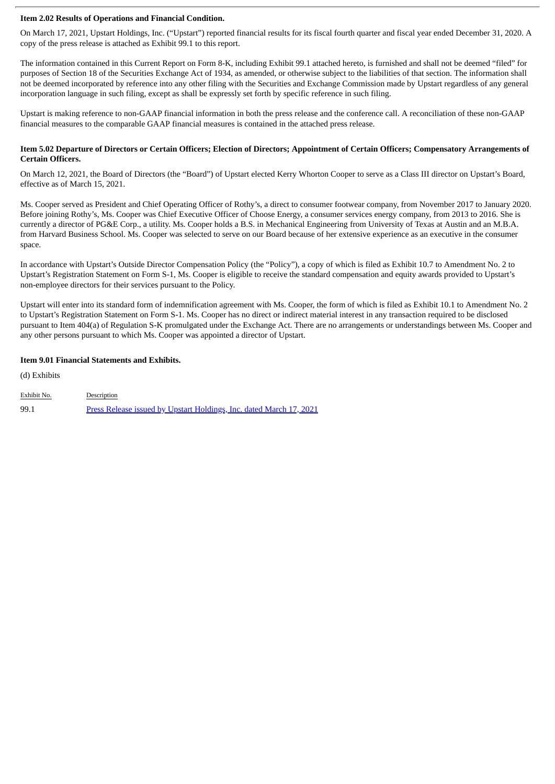#### **Item 2.02 Results of Operations and Financial Condition.**

On March 17, 2021, Upstart Holdings, Inc. ("Upstart") reported financial results for its fiscal fourth quarter and fiscal year ended December 31, 2020. A copy of the press release is attached as Exhibit 99.1 to this report.

The information contained in this Current Report on Form 8-K, including Exhibit 99.1 attached hereto, is furnished and shall not be deemed "filed" for purposes of Section 18 of the Securities Exchange Act of 1934, as amended, or otherwise subject to the liabilities of that section. The information shall not be deemed incorporated by reference into any other filing with the Securities and Exchange Commission made by Upstart regardless of any general incorporation language in such filing, except as shall be expressly set forth by specific reference in such filing.

Upstart is making reference to non-GAAP financial information in both the press release and the conference call. A reconciliation of these non-GAAP financial measures to the comparable GAAP financial measures is contained in the attached press release.

#### Item 5.02 Departure of Directors or Certain Officers; Election of Directors; Appointment of Certain Officers; Compensatory Arrangements of **Certain Officers.**

On March 12, 2021, the Board of Directors (the "Board") of Upstart elected Kerry Whorton Cooper to serve as a Class III director on Upstart's Board, effective as of March 15, 2021.

Ms. Cooper served as President and Chief Operating Officer of Rothy's, a direct to consumer footwear company, from November 2017 to January 2020. Before joining Rothy's, Ms. Cooper was Chief Executive Officer of Choose Energy, a consumer services energy company, from 2013 to 2016. She is currently a director of PG&E Corp., a utility. Ms. Cooper holds a B.S. in Mechanical Engineering from University of Texas at Austin and an M.B.A. from Harvard Business School. Ms. Cooper was selected to serve on our Board because of her extensive experience as an executive in the consumer space.

In accordance with Upstart's Outside Director Compensation Policy (the "Policy"), a copy of which is filed as Exhibit 10.7 to Amendment No. 2 to Upstart's Registration Statement on Form S-1, Ms. Cooper is eligible to receive the standard compensation and equity awards provided to Upstart's non-employee directors for their services pursuant to the Policy.

Upstart will enter into its standard form of indemnification agreement with Ms. Cooper, the form of which is filed as Exhibit 10.1 to Amendment No. 2 to Upstart's Registration Statement on Form S-1. Ms. Cooper has no direct or indirect material interest in any transaction required to be disclosed pursuant to Item 404(a) of Regulation S-K promulgated under the Exchange Act. There are no arrangements or understandings between Ms. Cooper and any other persons pursuant to which Ms. Cooper was appointed a director of Upstart.

#### **Item 9.01 Financial Statements and Exhibits.**

(d) Exhibits

| Exhibit No. | Description                                                         |
|-------------|---------------------------------------------------------------------|
| 99.1        | Press Release issued by Upstart Holdings, Inc. dated March 17, 2021 |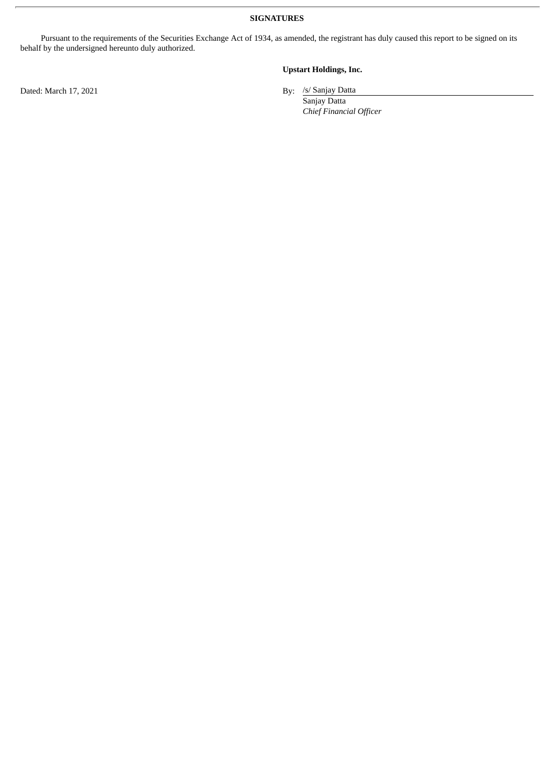**SIGNATURES**

Pursuant to the requirements of the Securities Exchange Act of 1934, as amended, the registrant has duly caused this report to be signed on its behalf by the undersigned hereunto duly authorized.

## **Upstart Holdings, Inc.**

By: /s/ Sanjay Datta

Sanjay Datta *Chief Financial Officer*

Dated: March 17, 2021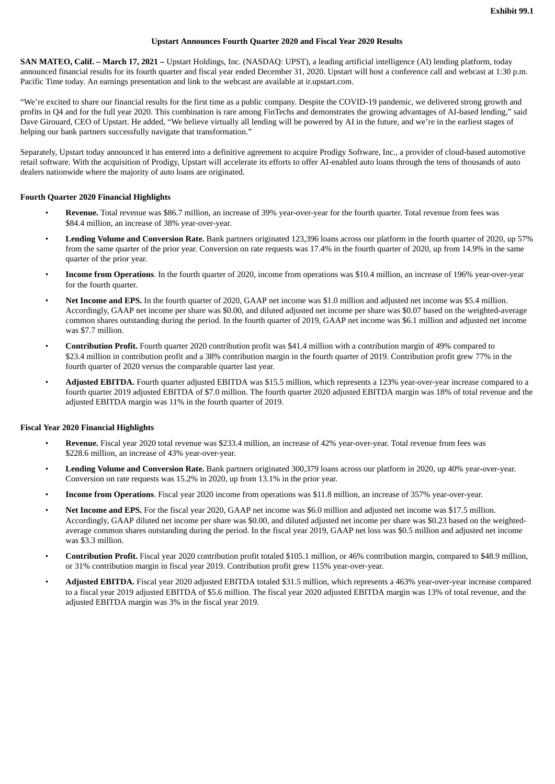#### **Upstart Announces Fourth Quarter 2020 and Fiscal Year 2020 Results**

<span id="page-3-0"></span>**SAN MATEO, Calif. – March 17, 2021 –** Upstart Holdings, Inc. (NASDAQ: UPST), a leading artificial intelligence (AI) lending platform, today announced financial results for its fourth quarter and fiscal year ended December 31, 2020. Upstart will host a conference call and webcast at 1:30 p.m. Pacific Time today. An earnings presentation and link to the webcast are available at ir.upstart.com.

"We're excited to share our financial results for the first time as a public company. Despite the COVID-19 pandemic, we delivered strong growth and profits in Q4 and for the full year 2020. This combination is rare among FinTechs and demonstrates the growing advantages of AI-based lending," said Dave Girouard, CEO of Upstart. He added, "We believe virtually all lending will be powered by AI in the future, and we're in the earliest stages of helping our bank partners successfully navigate that transformation."

Separately, Upstart today announced it has entered into a definitive agreement to acquire Prodigy Software, Inc., a provider of cloud-based automotive retail software. With the acquisition of Prodigy, Upstart will accelerate its efforts to offer AI-enabled auto loans through the tens of thousands of auto dealers nationwide where the majority of auto loans are originated.

#### **Fourth Quarter 2020 Financial Highlights**

- **Revenue.** Total revenue was \$86.7 million, an increase of 39% year-over-year for the fourth quarter. Total revenue from fees was \$84.4 million, an increase of 38% year-over-year.
- **Lending Volume and Conversion Rate.** Bank partners originated 123,396 loans across our platform in the fourth quarter of 2020, up 57% from the same quarter of the prior year. Conversion on rate requests was 17.4% in the fourth quarter of 2020, up from 14.9% in the same quarter of the prior year.
- **Income from Operations**. In the fourth quarter of 2020, income from operations was \$10.4 million, an increase of 196% year-over-year for the fourth quarter.
- **Net Income and EPS.** In the fourth quarter of 2020, GAAP net income was \$1.0 million and adjusted net income was \$5.4 million. Accordingly, GAAP net income per share was \$0.00, and diluted adjusted net income per share was \$0.07 based on the weighted-average common shares outstanding during the period. In the fourth quarter of 2019, GAAP net income was \$6.1 million and adjusted net income was \$7.7 million.
- **Contribution Profit.** Fourth quarter 2020 contribution profit was \$41.4 million with a contribution margin of 49% compared to \$23.4 million in contribution profit and a 38% contribution margin in the fourth quarter of 2019. Contribution profit grew 77% in the fourth quarter of 2020 versus the comparable quarter last year.
- **Adjusted EBITDA.** Fourth quarter adjusted EBITDA was \$15.5 million, which represents a 123% year-over-year increase compared to a fourth quarter 2019 adjusted EBITDA of \$7.0 million. The fourth quarter 2020 adjusted EBITDA margin was 18% of total revenue and the adjusted EBITDA margin was 11% in the fourth quarter of 2019.

#### **Fiscal Year 2020 Financial Highlights**

- **Revenue.** Fiscal year 2020 total revenue was \$233.4 million, an increase of 42% year-over-year. Total revenue from fees was \$228.6 million, an increase of 43% year-over-year.
- **Lending Volume and Conversion Rate.** Bank partners originated 300,379 loans across our platform in 2020, up 40% year-over-year. Conversion on rate requests was 15.2% in 2020, up from 13.1% in the prior year.
- **Income from Operations**. Fiscal year 2020 income from operations was \$11.8 million, an increase of 357% year-over-year.
- **Net Income and EPS.** For the fiscal year 2020, GAAP net income was \$6.0 million and adjusted net income was \$17.5 million. Accordingly, GAAP diluted net income per share was \$0.00, and diluted adjusted net income per share was \$0.23 based on the weightedaverage common shares outstanding during the period. In the fiscal year 2019, GAAP net loss was \$0.5 million and adjusted net income was \$3.3 million.
- **Contribution Profit.** Fiscal year 2020 contribution profit totaled \$105.1 million, or 46% contribution margin, compared to \$48.9 million, or 31% contribution margin in fiscal year 2019. Contribution profit grew 115% year-over-year.
- **Adjusted EBITDA.** Fiscal year 2020 adjusted EBITDA totaled \$31.5 million, which represents a 463% year-over-year increase compared to a fiscal year 2019 adjusted EBITDA of \$5.6 million. The fiscal year 2020 adjusted EBITDA margin was 13% of total revenue, and the adjusted EBITDA margin was 3% in the fiscal year 2019.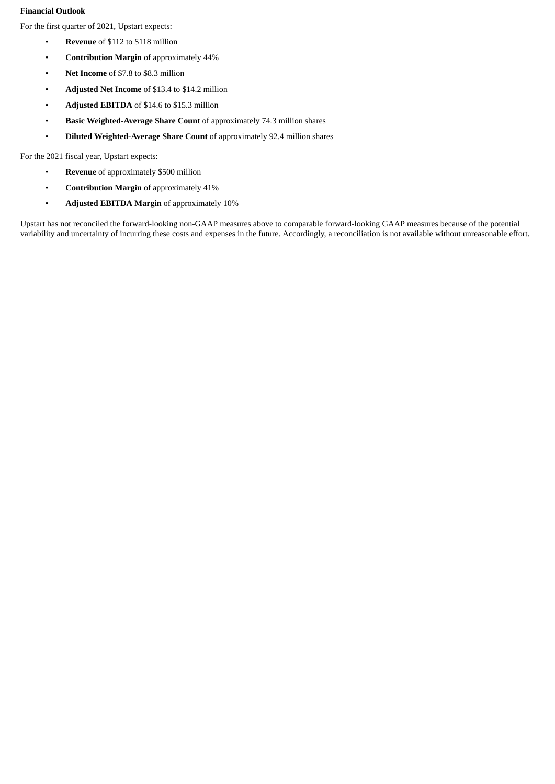### **Financial Outlook**

For the first quarter of 2021, Upstart expects:

- **Revenue** of \$112 to \$118 million
- **Contribution Margin** of approximately 44%
- **Net Income** of \$7.8 to \$8.3 million
- **Adjusted Net Income** of \$13.4 to \$14.2 million
- **Adjusted EBITDA** of \$14.6 to \$15.3 million
- **Basic Weighted-Average Share Count** of approximately 74.3 million shares
- **Diluted Weighted-Average Share Count** of approximately 92.4 million shares

For the 2021 fiscal year, Upstart expects:

- **Revenue** of approximately \$500 million
- **Contribution Margin** of approximately 41%
- **Adjusted EBITDA Margin** of approximately 10%

Upstart has not reconciled the forward-looking non-GAAP measures above to comparable forward-looking GAAP measures because of the potential variability and uncertainty of incurring these costs and expenses in the future. Accordingly, a reconciliation is not available without unreasonable effort.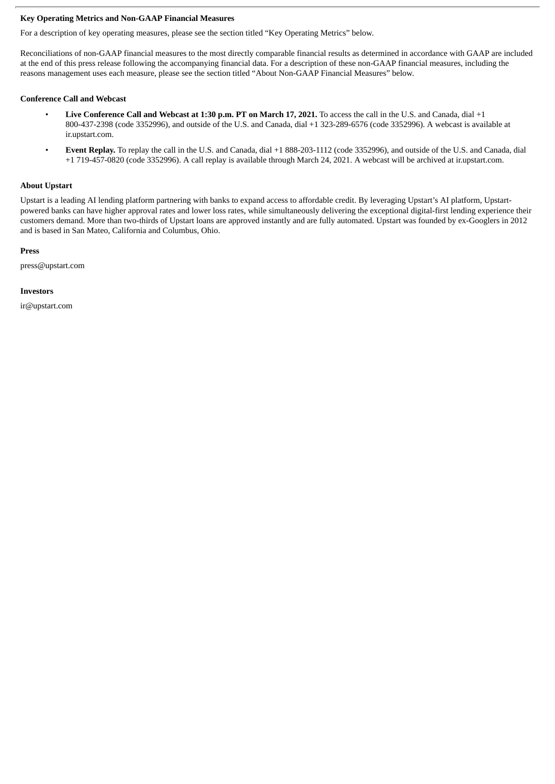#### **Key Operating Metrics and Non-GAAP Financial Measures**

For a description of key operating measures, please see the section titled "Key Operating Metrics" below.

Reconciliations of non-GAAP financial measures to the most directly comparable financial results as determined in accordance with GAAP are included at the end of this press release following the accompanying financial data. For a description of these non-GAAP financial measures, including the reasons management uses each measure, please see the section titled "About Non-GAAP Financial Measures" below.

#### **Conference Call and Webcast**

- **Live Conference Call and Webcast at 1:30 p.m. PT on March 17, 2021.** To access the call in the U.S. and Canada, dial +1 800-437-2398 (code 3352996), and outside of the U.S. and Canada, dial +1 323-289-6576 (code 3352996). A webcast is available at ir.upstart.com.
- **Event Replay.** To replay the call in the U.S. and Canada, dial +1 888-203-1112 (code 3352996), and outside of the U.S. and Canada, dial +1 719-457-0820 (code 3352996). A call replay is available through March 24, 2021. A webcast will be archived at ir.upstart.com.

#### **About Upstart**

Upstart is a leading AI lending platform partnering with banks to expand access to affordable credit. By leveraging Upstart's AI platform, Upstartpowered banks can have higher approval rates and lower loss rates, while simultaneously delivering the exceptional digital-first lending experience their customers demand. More than two-thirds of Upstart loans are approved instantly and are fully automated. Upstart was founded by ex-Googlers in 2012 and is based in San Mateo, California and Columbus, Ohio.

#### **Press**

press@upstart.com

#### **Investors**

ir@upstart.com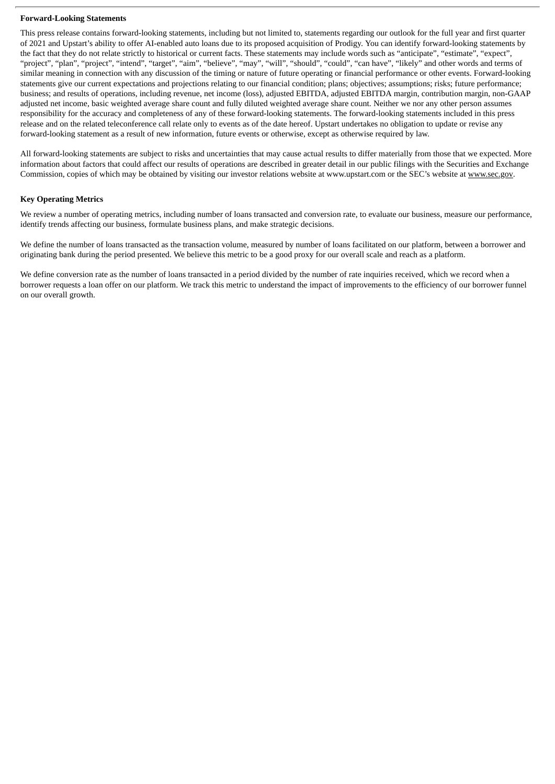#### **Forward-Looking Statements**

This press release contains forward-looking statements, including but not limited to, statements regarding our outlook for the full year and first quarter of 2021 and Upstart's ability to offer AI-enabled auto loans due to its proposed acquisition of Prodigy. You can identify forward-looking statements by the fact that they do not relate strictly to historical or current facts. These statements may include words such as "anticipate", "estimate", "expect", "project", "plan", "project", "intend", "target", "aim", "believe", "may", "will", "should", "could", "can have", "likely" and other words and terms of similar meaning in connection with any discussion of the timing or nature of future operating or financial performance or other events. Forward-looking statements give our current expectations and projections relating to our financial condition; plans; objectives; assumptions; risks; future performance; business; and results of operations, including revenue, net income (loss), adjusted EBITDA, adjusted EBITDA margin, contribution margin, non-GAAP adjusted net income, basic weighted average share count and fully diluted weighted average share count. Neither we nor any other person assumes responsibility for the accuracy and completeness of any of these forward-looking statements. The forward-looking statements included in this press release and on the related teleconference call relate only to events as of the date hereof. Upstart undertakes no obligation to update or revise any forward-looking statement as a result of new information, future events or otherwise, except as otherwise required by law.

All forward-looking statements are subject to risks and uncertainties that may cause actual results to differ materially from those that we expected. More information about factors that could affect our results of operations are described in greater detail in our public filings with the Securities and Exchange Commission, copies of which may be obtained by visiting our investor relations website at www.upstart.com or the SEC's website at www.sec.gov.

#### **Key Operating Metrics**

We review a number of operating metrics, including number of loans transacted and conversion rate, to evaluate our business, measure our performance, identify trends affecting our business, formulate business plans, and make strategic decisions.

We define the number of loans transacted as the transaction volume, measured by number of loans facilitated on our platform, between a borrower and originating bank during the period presented. We believe this metric to be a good proxy for our overall scale and reach as a platform.

We define conversion rate as the number of loans transacted in a period divided by the number of rate inquiries received, which we record when a borrower requests a loan offer on our platform. We track this metric to understand the impact of improvements to the efficiency of our borrower funnel on our overall growth.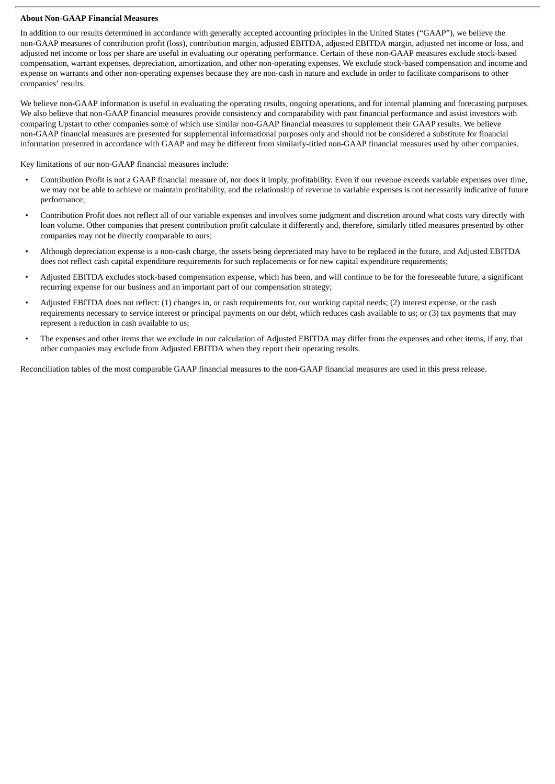#### **About Non-GAAP Financial Measures**

In addition to our results determined in accordance with generally accepted accounting principles in the United States ("GAAP"), we believe the non-GAAP measures of contribution profit (loss), contribution margin, adjusted EBITDA, adjusted EBITDA margin, adjusted net income or loss, and adjusted net income or loss per share are useful in evaluating our operating performance. Certain of these non-GAAP measures exclude stock-based compensation, warrant expenses, depreciation, amortization, and other non-operating expenses. We exclude stock-based compensation and income and expense on warrants and other non-operating expenses because they are non-cash in nature and exclude in order to facilitate comparisons to other companies' results.

We believe non-GAAP information is useful in evaluating the operating results, ongoing operations, and for internal planning and forecasting purposes. We also believe that non-GAAP financial measures provide consistency and comparability with past financial performance and assist investors with comparing Upstart to other companies some of which use similar non-GAAP financial measures to supplement their GAAP results. We believe non-GAAP financial measures are presented for supplemental informational purposes only and should not be considered a substitute for financial information presented in accordance with GAAP and may be different from similarly-titled non-GAAP financial measures used by other companies.

Key limitations of our non-GAAP financial measures include:

- Contribution Profit is not a GAAP financial measure of, nor does it imply, profitability. Even if our revenue exceeds variable expenses over time, we may not be able to achieve or maintain profitability, and the relationship of revenue to variable expenses is not necessarily indicative of future performance;
- Contribution Profit does not reflect all of our variable expenses and involves some judgment and discretion around what costs vary directly with loan volume. Other companies that present contribution profit calculate it differently and, therefore, similarly titled measures presented by other companies may not be directly comparable to ours;
- Although depreciation expense is a non-cash charge, the assets being depreciated may have to be replaced in the future, and Adjusted EBITDA does not reflect cash capital expenditure requirements for such replacements or for new capital expenditure requirements;
- Adjusted EBITDA excludes stock-based compensation expense, which has been, and will continue to be for the foreseeable future, a significant recurring expense for our business and an important part of our compensation strategy;
- Adjusted EBITDA does not reflect: (1) changes in, or cash requirements for, our working capital needs; (2) interest expense, or the cash requirements necessary to service interest or principal payments on our debt, which reduces cash available to us; or (3) tax payments that may represent a reduction in cash available to us;
- The expenses and other items that we exclude in our calculation of Adjusted EBITDA may differ from the expenses and other items, if any, that other companies may exclude from Adjusted EBITDA when they report their operating results.

Reconciliation tables of the most comparable GAAP financial measures to the non-GAAP financial measures are used in this press release.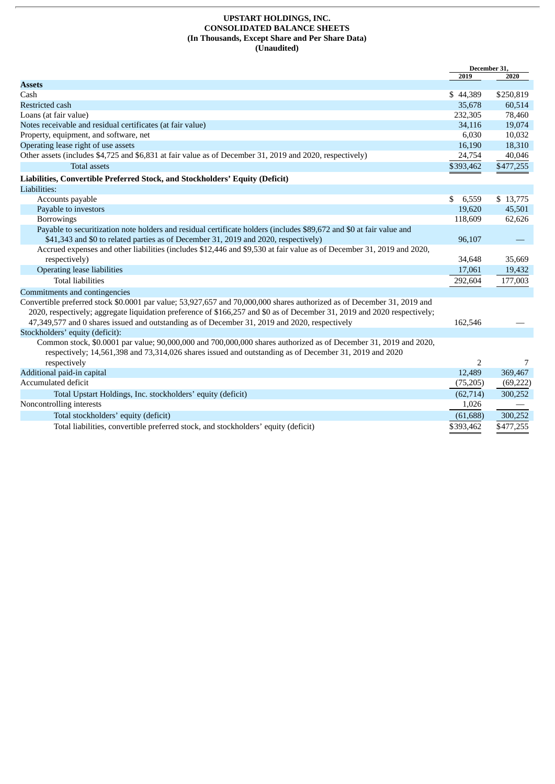#### **UPSTART HOLDINGS, INC. CONSOLIDATED BALANCE SHEETS (In Thousands, Except Share and Per Share Data) (Unaudited)**

|                                                                                                                          | December 31, |           |
|--------------------------------------------------------------------------------------------------------------------------|--------------|-----------|
| <b>Assets</b>                                                                                                            | 2019         | 2020      |
| Cash                                                                                                                     |              |           |
|                                                                                                                          | \$44,389     | \$250,819 |
| <b>Restricted cash</b>                                                                                                   | 35,678       | 60,514    |
| Loans (at fair value)                                                                                                    | 232,305      | 78,460    |
| Notes receivable and residual certificates (at fair value)                                                               | 34,116       | 19,074    |
| Property, equipment, and software, net                                                                                   | 6,030        | 10,032    |
| Operating lease right of use assets                                                                                      | 16,190       | 18,310    |
| Other assets (includes \$4,725 and \$6,831 at fair value as of December 31, 2019 and 2020, respectively)                 | 24,754       | 40,046    |
| <b>Total assets</b>                                                                                                      | \$393,462    | \$477,255 |
| Liabilities, Convertible Preferred Stock, and Stockholders' Equity (Deficit)                                             |              |           |
| Liabilities:                                                                                                             |              |           |
| Accounts payable                                                                                                         | \$<br>6,559  | \$13,775  |
| Payable to investors                                                                                                     | 19,620       | 45,501    |
| Borrowings                                                                                                               | 118,609      | 62,626    |
| Payable to securitization note holders and residual certificate holders (includes \$89,672 and \$0 at fair value and     |              |           |
| \$41,343 and \$0 to related parties as of December 31, 2019 and 2020, respectively)                                      | 96,107       |           |
| Accrued expenses and other liabilities (includes \$12,446 and \$9,530 at fair value as of December 31, 2019 and 2020,    |              |           |
| respectively)                                                                                                            | 34,648       | 35,669    |
| <b>Operating lease liabilities</b>                                                                                       | 17,061       | 19,432    |
| <b>Total liabilities</b>                                                                                                 | 292,604      | 177,003   |
| Commitments and contingencies                                                                                            |              |           |
| Convertible preferred stock \$0.0001 par value; 53,927,657 and 70,000,000 shares authorized as of December 31, 2019 and  |              |           |
| 2020, respectively; aggregate liquidation preference of \$166,257 and \$0 as of December 31, 2019 and 2020 respectively; |              |           |
| 47,349,577 and 0 shares issued and outstanding as of December 31, 2019 and 2020, respectively                            | 162,546      |           |
| Stockholders' equity (deficit):                                                                                          |              |           |
| Common stock, \$0.0001 par value; 90,000,000 and 700,000,000 shares authorized as of December 31, 2019 and 2020,         |              |           |
| respectively; 14,561,398 and 73,314,026 shares issued and outstanding as of December 31, 2019 and 2020                   |              |           |
| respectively                                                                                                             | 2            | 7         |
| Additional paid-in capital                                                                                               | 12,489       | 369,467   |
| Accumulated deficit                                                                                                      | (75,205)     | (69, 222) |
| Total Upstart Holdings, Inc. stockholders' equity (deficit)                                                              | (62, 714)    | 300,252   |
| Noncontrolling interests                                                                                                 | 1,026        |           |
| Total stockholders' equity (deficit)                                                                                     | (61, 688)    | 300,252   |
| Total liabilities, convertible preferred stock, and stockholders' equity (deficit)                                       | \$393,462    | \$477,255 |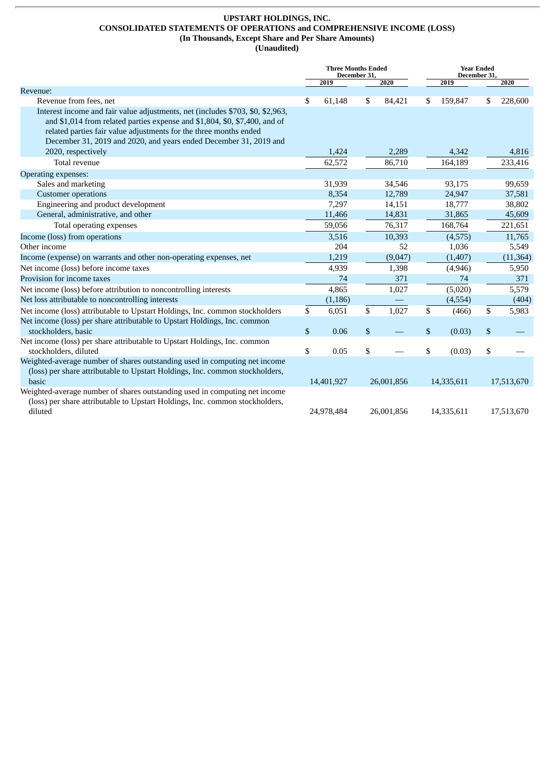## **UPSTART HOLDINGS, INC. CONSOLIDATED STATEMENTS OF OPERATIONS and COMPREHENSIVE INCOME (LOSS) (In Thousands, Except Share and Per Share Amounts)**

**(Unaudited)**

|                                                                                                                                                              | <b>Three Months Ended</b><br>December 31, |            |    | <b>Year Ended</b><br>December 31. |              |            |    |            |  |  |  |  |  |  |  |         |  |       |
|--------------------------------------------------------------------------------------------------------------------------------------------------------------|-------------------------------------------|------------|----|-----------------------------------|--------------|------------|----|------------|--|--|--|--|--|--|--|---------|--|-------|
|                                                                                                                                                              |                                           | 2019       |    | 2020                              |              | 2019       |    | 2020       |  |  |  |  |  |  |  |         |  |       |
| Revenue:                                                                                                                                                     |                                           |            |    |                                   |              |            |    |            |  |  |  |  |  |  |  |         |  |       |
| Revenue from fees, net                                                                                                                                       | \$                                        | 61,148     | \$ | 84,421                            | \$           | 159,847    | \$ | 228,600    |  |  |  |  |  |  |  |         |  |       |
| Interest income and fair value adjustments, net (includes \$703, \$0, \$2,963,<br>and \$1,014 from related parties expense and \$1,804, \$0, \$7,400, and of |                                           |            |    |                                   |              |            |    |            |  |  |  |  |  |  |  |         |  |       |
| related parties fair value adjustments for the three months ended                                                                                            |                                           |            |    |                                   |              |            |    |            |  |  |  |  |  |  |  |         |  |       |
| December 31, 2019 and 2020, and years ended December 31, 2019 and                                                                                            |                                           |            |    |                                   |              |            |    |            |  |  |  |  |  |  |  |         |  |       |
| 2020, respectively                                                                                                                                           |                                           | 1,424      |    | 2,289                             |              | 4,342      |    | 4,816      |  |  |  |  |  |  |  |         |  |       |
| Total revenue                                                                                                                                                |                                           | 62,572     |    | 86,710                            |              | 164,189    |    | 233,416    |  |  |  |  |  |  |  |         |  |       |
| Operating expenses:                                                                                                                                          |                                           |            |    |                                   |              |            |    |            |  |  |  |  |  |  |  |         |  |       |
| Sales and marketing                                                                                                                                          |                                           | 31,939     |    | 34,546                            |              | 93,175     |    | 99,659     |  |  |  |  |  |  |  |         |  |       |
| <b>Customer operations</b>                                                                                                                                   |                                           | 8,354      |    | 12,789                            |              | 24,947     |    | 37,581     |  |  |  |  |  |  |  |         |  |       |
| Engineering and product development                                                                                                                          |                                           | 7,297      |    | 14,151                            |              | 18,777     |    | 38,802     |  |  |  |  |  |  |  |         |  |       |
| General, administrative, and other                                                                                                                           |                                           | 11,466     |    | 14,831                            |              | 31,865     |    | 45,609     |  |  |  |  |  |  |  |         |  |       |
| Total operating expenses                                                                                                                                     |                                           | 59,056     |    | 76,317                            |              | 168,764    |    | 221,651    |  |  |  |  |  |  |  |         |  |       |
| Income (loss) from operations                                                                                                                                |                                           | 3,516      |    | 10,393                            |              | (4,575)    |    | 11,765     |  |  |  |  |  |  |  |         |  |       |
| Other income                                                                                                                                                 |                                           | 204        |    | 52                                |              | 1,036      |    | 5,549      |  |  |  |  |  |  |  |         |  |       |
| Income (expense) on warrants and other non-operating expenses, net                                                                                           |                                           | 1,219      |    | (9,047)                           |              | (1, 407)   |    | (11, 364)  |  |  |  |  |  |  |  |         |  |       |
| Net income (loss) before income taxes                                                                                                                        |                                           | 4,939      |    | 1,398                             |              | (4,946)    |    | 5,950      |  |  |  |  |  |  |  |         |  |       |
| Provision for income taxes                                                                                                                                   |                                           | 74         |    | 371                               |              | 74         |    | 371        |  |  |  |  |  |  |  |         |  |       |
| Net income (loss) before attribution to noncontrolling interests                                                                                             |                                           | 4,865      |    | 1,027                             |              | (5,020)    |    | 5,579      |  |  |  |  |  |  |  |         |  |       |
| Net loss attributable to noncontrolling interests                                                                                                            |                                           | (1, 186)   |    |                                   |              |            |    |            |  |  |  |  |  |  |  | (4,554) |  | (404) |
| Net income (loss) attributable to Upstart Holdings, Inc. common stockholders                                                                                 | \$                                        | 6,051      | \$ | 1,027                             | \$           | (466)      | \$ | 5,983      |  |  |  |  |  |  |  |         |  |       |
| Net income (loss) per share attributable to Upstart Holdings, Inc. common                                                                                    |                                           |            |    |                                   |              |            |    |            |  |  |  |  |  |  |  |         |  |       |
| stockholders, basic                                                                                                                                          | \$                                        | 0.06       | \$ |                                   | $\mathbb{S}$ | (0.03)     | \$ |            |  |  |  |  |  |  |  |         |  |       |
| Net income (loss) per share attributable to Upstart Holdings, Inc. common                                                                                    |                                           |            |    |                                   |              |            |    |            |  |  |  |  |  |  |  |         |  |       |
| stockholders, diluted                                                                                                                                        | \$                                        | 0.05       | \$ |                                   | \$           | (0.03)     | \$ |            |  |  |  |  |  |  |  |         |  |       |
| Weighted-average number of shares outstanding used in computing net income<br>(loss) per share attributable to Upstart Holdings, Inc. common stockholders,   |                                           |            |    |                                   |              |            |    |            |  |  |  |  |  |  |  |         |  |       |
| basic                                                                                                                                                        | 14,401,927<br>26,001,856                  |            |    | 14,335,611                        |              | 17,513,670 |    |            |  |  |  |  |  |  |  |         |  |       |
| Weighted-average number of shares outstanding used in computing net income                                                                                   |                                           |            |    |                                   |              |            |    |            |  |  |  |  |  |  |  |         |  |       |
| (loss) per share attributable to Upstart Holdings, Inc. common stockholders,                                                                                 |                                           |            |    |                                   |              |            |    |            |  |  |  |  |  |  |  |         |  |       |
| diluted                                                                                                                                                      |                                           | 24,978,484 |    | 26,001,856                        |              | 14,335,611 |    | 17,513,670 |  |  |  |  |  |  |  |         |  |       |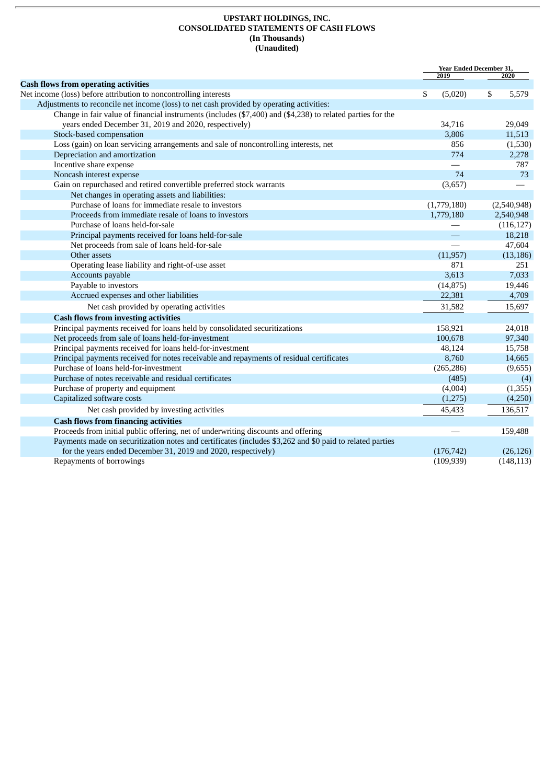#### **UPSTART HOLDINGS, INC. CONSOLIDATED STATEMENTS OF CASH FLOWS (In Thousands) (Unaudited)**

|                                                                                                            | <b>Year Ended December 31,</b> |             |
|------------------------------------------------------------------------------------------------------------|--------------------------------|-------------|
|                                                                                                            | 2019                           | 2020        |
| <b>Cash flows from operating activities</b>                                                                |                                |             |
| Net income (loss) before attribution to noncontrolling interests                                           | \$<br>(5,020)                  | \$<br>5,579 |
| Adjustments to reconcile net income (loss) to net cash provided by operating activities:                   |                                |             |
| Change in fair value of financial instruments (includes (\$7,400) and (\$4,238) to related parties for the |                                |             |
| years ended December 31, 2019 and 2020, respectively)                                                      | 34,716                         | 29,049      |
| Stock-based compensation                                                                                   | 3,806                          | 11,513      |
| Loss (gain) on loan servicing arrangements and sale of noncontrolling interests, net                       | 856                            | (1,530)     |
| Depreciation and amortization                                                                              | 774                            | 2,278       |
| Incentive share expense                                                                                    |                                | 787         |
| Noncash interest expense                                                                                   | 74                             | 73          |
| Gain on repurchased and retired convertible preferred stock warrants                                       | (3,657)                        |             |
| Net changes in operating assets and liabilities:                                                           |                                |             |
| Purchase of loans for immediate resale to investors                                                        | (1,779,180)                    | (2,540,948) |
| Proceeds from immediate resale of loans to investors                                                       | 1,779,180                      | 2,540,948   |
| Purchase of loans held-for-sale                                                                            |                                | (116, 127)  |
| Principal payments received for loans held-for-sale                                                        |                                | 18,218      |
| Net proceeds from sale of loans held-for-sale                                                              |                                | 47,604      |
| Other assets                                                                                               | (11, 957)                      | (13, 186)   |
| Operating lease liability and right-of-use asset                                                           | 871                            | 251         |
| Accounts payable                                                                                           | 3,613                          | 7,033       |
| Payable to investors                                                                                       | (14, 875)                      | 19,446      |
| Accrued expenses and other liabilities                                                                     | 22,381                         | 4,709       |
| Net cash provided by operating activities                                                                  | 31,582                         | 15,697      |
| <b>Cash flows from investing activities</b>                                                                |                                |             |
| Principal payments received for loans held by consolidated securitizations                                 | 158,921                        | 24,018      |
| Net proceeds from sale of loans held-for-investment                                                        | 100,678                        | 97,340      |
| Principal payments received for loans held-for-investment                                                  | 48,124                         | 15,758      |
| Principal payments received for notes receivable and repayments of residual certificates                   | 8,760                          | 14,665      |
| Purchase of loans held-for-investment                                                                      | (265, 286)                     | (9,655)     |
| Purchase of notes receivable and residual certificates                                                     | (485)                          | (4)         |
| Purchase of property and equipment                                                                         | (4,004)                        | (1, 355)    |
| Capitalized software costs                                                                                 | (1,275)                        | (4,250)     |
| Net cash provided by investing activities                                                                  | 45,433                         | 136,517     |
| <b>Cash flows from financing activities</b>                                                                |                                |             |
| Proceeds from initial public offering, net of underwriting discounts and offering                          |                                | 159,488     |
| Payments made on securitization notes and certificates (includes \$3,262 and \$0 paid to related parties   |                                |             |
| for the years ended December 31, 2019 and 2020, respectively)                                              | (176, 742)                     | (26, 126)   |
| Repayments of borrowings                                                                                   | (109, 939)                     | (148, 113)  |
|                                                                                                            |                                |             |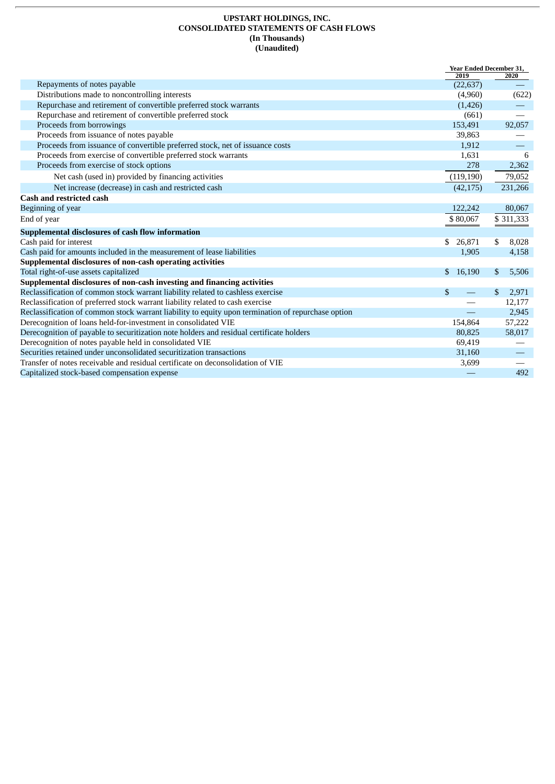#### **UPSTART HOLDINGS, INC. CONSOLIDATED STATEMENTS OF CASH FLOWS (In Thousands) (Unaudited)**

|                                                                                                    | <b>Year Ended December 31,</b> |             |
|----------------------------------------------------------------------------------------------------|--------------------------------|-------------|
| Repayments of notes payable                                                                        | 2019<br>(22, 637)              | 2020        |
| Distributions made to noncontrolling interests                                                     | (4,960)                        | (622)       |
| Repurchase and retirement of convertible preferred stock warrants                                  | (1,426)                        |             |
| Repurchase and retirement of convertible preferred stock                                           | (661)                          |             |
| Proceeds from borrowings                                                                           | 153,491                        | 92,057      |
| Proceeds from issuance of notes payable                                                            | 39,863                         |             |
| Proceeds from issuance of convertible preferred stock, net of issuance costs                       | 1,912                          |             |
| Proceeds from exercise of convertible preferred stock warrants                                     | 1,631                          | 6           |
| Proceeds from exercise of stock options                                                            | 278                            | 2,362       |
| Net cash (used in) provided by financing activities                                                | (119, 190)                     | 79,052      |
| Net increase (decrease) in cash and restricted cash                                                | (42, 175)                      | 231,266     |
| <b>Cash and restricted cash</b>                                                                    |                                |             |
| Beginning of year                                                                                  | 122,242                        | 80,067      |
| End of year                                                                                        | \$80,067                       | \$311,333   |
| Supplemental disclosures of cash flow information                                                  |                                |             |
| Cash paid for interest                                                                             | 26,871<br>\$                   | 8,028<br>\$ |
| Cash paid for amounts included in the measurement of lease liabilities                             | 1,905                          | 4,158       |
| Supplemental disclosures of non-cash operating activities                                          |                                |             |
| Total right-of-use assets capitalized                                                              | 16,190<br>\$                   | 5,506<br>\$ |
| Supplemental disclosures of non-cash investing and financing activities                            |                                |             |
| Reclassification of common stock warrant liability related to cashless exercise                    | \$                             | \$<br>2,971 |
| Reclassification of preferred stock warrant liability related to cash exercise                     |                                | 12,177      |
| Reclassification of common stock warrant liability to equity upon termination of repurchase option |                                | 2,945       |
| Derecognition of loans held-for-investment in consolidated VIE                                     | 154,864                        | 57,222      |
| Derecognition of payable to securitization note holders and residual certificate holders           | 80,825                         | 58,017      |
| Derecognition of notes payable held in consolidated VIE                                            | 69,419                         |             |
| Securities retained under unconsolidated securitization transactions                               | 31,160                         |             |
| Transfer of notes receivable and residual certificate on deconsolidation of VIE                    | 3,699                          |             |
| Capitalized stock-based compensation expense                                                       |                                | 492         |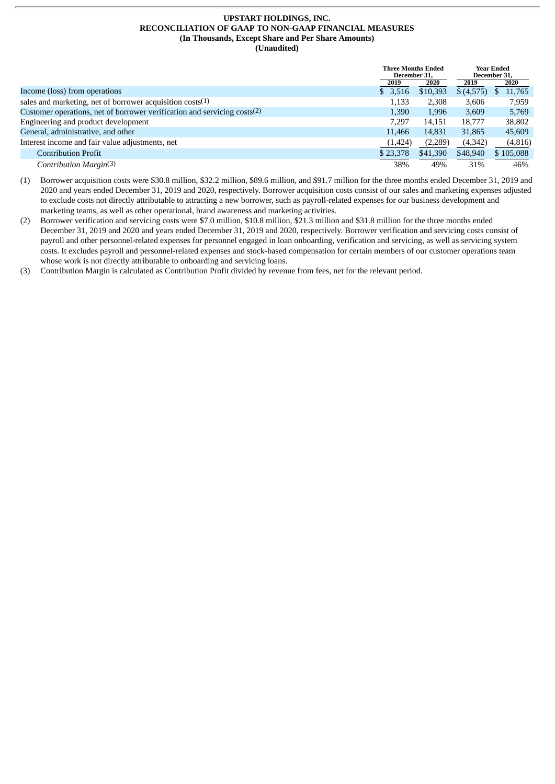#### **UPSTART HOLDINGS, INC. RECONCILIATION OF GAAP TO NON-GAAP FINANCIAL MEASURES (In Thousands, Except Share and Per Share Amounts) (Unaudited)**

|                                                                          | <b>Three Months Ended</b><br>December 31, |          |           | <b>Year Ended</b><br>December 31, |
|--------------------------------------------------------------------------|-------------------------------------------|----------|-----------|-----------------------------------|
|                                                                          | 2019                                      | 2020     | 2019      | 2020                              |
| Income (loss) from operations                                            | \$3,516                                   | \$10,393 | \$(4,575) | 11,765<br>ж                       |
| sales and marketing, net of borrower acquisition $costs(1)$              | 1,133                                     | 2,308    | 3,606     | 7,959                             |
| Customer operations, net of borrower verification and servicing costs(2) | 1,390                                     | 1,996    | 3,609     | 5,769                             |
| Engineering and product development                                      | 7.297                                     | 14.151   | 18,777    | 38,802                            |
| General, administrative, and other                                       | 11,466                                    | 14,831   | 31,865    | 45,609                            |
| Interest income and fair value adjustments, net                          | (1,424)                                   | (2,289)  | (4, 342)  | (4,816)                           |
| <b>Contribution Profit</b>                                               | \$23,378                                  | \$41,390 | \$48,940  | \$105,088                         |
| Contribution Margin(3)                                                   | 38%                                       | 49%      | 31%       | 46%                               |

(1) Borrower acquisition costs were \$30.8 million, \$32.2 million, \$89.6 million, and \$91.7 million for the three months ended December 31, 2019 and 2020 and years ended December 31, 2019 and 2020, respectively. Borrower acquisition costs consist of our sales and marketing expenses adjusted to exclude costs not directly attributable to attracting a new borrower, such as payroll-related expenses for our business development and marketing teams, as well as other operational, brand awareness and marketing activities.

(2) Borrower verification and servicing costs were \$7.0 million, \$10.8 million, \$21.3 million and \$31.8 million for the three months ended December 31, 2019 and 2020 and years ended December 31, 2019 and 2020, respectively. Borrower verification and servicing costs consist of payroll and other personnel-related expenses for personnel engaged in loan onboarding, verification and servicing, as well as servicing system costs. It excludes payroll and personnel-related expenses and stock-based compensation for certain members of our customer operations team whose work is not directly attributable to onboarding and servicing loans.

(3) Contribution Margin is calculated as Contribution Profit divided by revenue from fees, net for the relevant period.